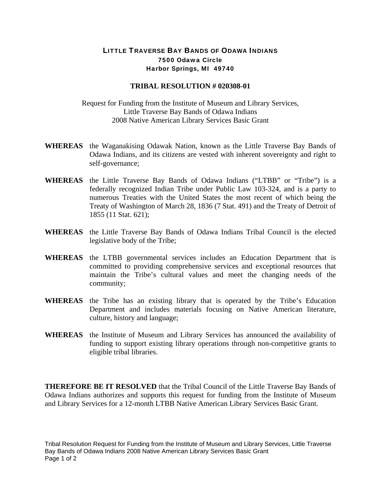## LITTLE TRAVERSE BAY BANDS OF ODAWA INDIANS 7500 Odawa Circle Harbor Springs, MI 49740

## **TRIBAL RESOLUTION # 020308-01**

Request for Funding from the Institute of Museum and Library Services, Little Traverse Bay Bands of Odawa Indians 2008 Native American Library Services Basic Grant

- **WHEREAS** the Waganakising Odawak Nation, known as the Little Traverse Bay Bands of Odawa Indians, and its citizens are vested with inherent sovereignty and right to self-governance;
- **WHEREAS** the Little Traverse Bay Bands of Odawa Indians ("LTBB" or "Tribe") is a federally recognized Indian Tribe under Public Law 103-324, and is a party to numerous Treaties with the United States the most recent of which being the Treaty of Washington of March 28, 1836 (7 Stat. 491) and the Treaty of Detroit of 1855 (11 Stat. 621);
- **WHEREAS** the Little Traverse Bay Bands of Odawa Indians Tribal Council is the elected legislative body of the Tribe;
- **WHEREAS** the LTBB governmental services includes an Education Department that is committed to providing comprehensive services and exceptional resources that maintain the Tribe's cultural values and meet the changing needs of the community;
- **WHEREAS** the Tribe has an existing library that is operated by the Tribe's Education Department and includes materials focusing on Native American literature, culture, history and language;
- **WHEREAS** the Institute of Museum and Library Services has announced the availability of funding to support existing library operations through non-competitive grants to eligible tribal libraries.

**THEREFORE BE IT RESOLVED** that the Tribal Council of the Little Traverse Bay Bands of Odawa Indians authorizes and supports this request for funding from the Institute of Museum and Library Services for a 12-month LTBB Native American Library Services Basic Grant.